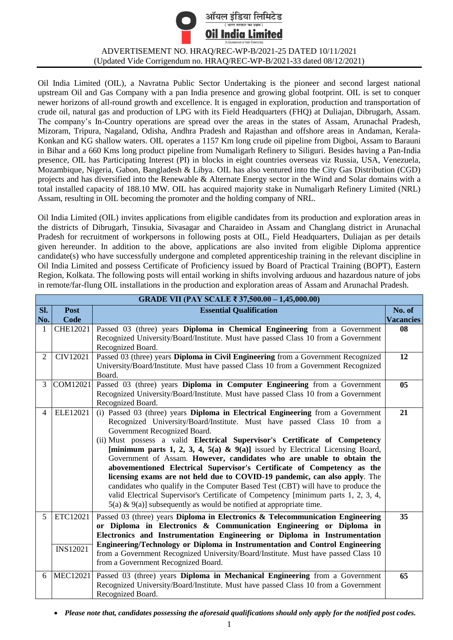

ADVERTISEMENT NO. HRAQ/REC-WP-B/2021-25 DATED 10/11/2021 (Updated Vide Corrigendum no. HRAQ/REC-WP-B/2021-33 dated 08/12/2021)

Oil India Limited (OIL), a Navratna Public Sector Undertaking is the pioneer and second largest national upstream Oil and Gas Company with a pan India presence and growing global footprint. OIL is set to conquer newer horizons of all-round growth and excellence. It is engaged in exploration, production and transportation of crude oil, natural gas and production of LPG with its Field Headquarters (FHQ) at Duliajan, Dibrugarh, Assam. The company's In-Country operations are spread over the areas in the states of Assam, Arunachal Pradesh, Mizoram, Tripura, Nagaland, Odisha, Andhra Pradesh and Rajasthan and offshore areas in Andaman, Kerala-Konkan and KG shallow waters. OIL operates a 1157 Km long crude oil pipeline from Digboi, Assam to Barauni in Bihar and a 660 Kms long product pipeline from Numaligarh Refinery to Siliguri. Besides having a Pan-India presence, OIL has Participating Interest (PI) in blocks in eight countries overseas viz Russia, USA, Venezuela, Mozambique, Nigeria, Gabon, Bangladesh & Libya. OIL has also ventured into the City Gas Distribution (CGD) projects and has diversified into the Renewable & Alternate Energy sector in the Wind and Solar domains with a total installed capacity of 188.10 MW. OIL has acquired majority stake in Numaligarh Refinery Limited (NRL) Assam, resulting in OIL becoming the promoter and the holding company of NRL.

Oil India Limited (OIL) invites applications from eligible candidates from its production and exploration areas in the districts of Dibrugarh, Tinsukia, Sivasagar and Charaideo in Assam and Changlang district in Arunachal Pradesh for recruitment of workpersons in following posts at OIL, Field Headquarters, Duliajan as per details given hereunder. In addition to the above, applications are also invited from eligible Diploma apprentice candidate(s) who have successfully undergone and completed apprenticeship training in the relevant discipline in Oil India Limited and possess Certificate of Proficiency issued by Board of Practical Training (BOPT), Eastern Region, Kolkata. The following posts will entail working in shifts involving arduous and hazardous nature of jobs in remote/far-flung OIL installations in the production and exploration areas of Assam and Arunachal Pradesh.

| GRADE VII (PAY SCALE ₹ 37,500.00 - 1,45,000.00) |                 |                                                                                                      |                  |
|-------------------------------------------------|-----------------|------------------------------------------------------------------------------------------------------|------------------|
| SI.                                             | <b>Post</b>     | <b>Essential Qualification</b>                                                                       | No. of           |
| No.                                             | Code            |                                                                                                      | <b>Vacancies</b> |
| 1                                               | CHE12021        | Passed 03 (three) years <b>Diploma in Chemical Engineering</b> from a Government                     | 08               |
|                                                 |                 | Recognized University/Board/Institute. Must have passed Class 10 from a Government                   |                  |
|                                                 |                 | Recognized Board.                                                                                    |                  |
| $\overline{2}$                                  | CIV12021        | Passed 03 (three) years <b>Diploma in Civil Engineering</b> from a Government Recognized             | 12               |
|                                                 |                 | University/Board/Institute. Must have passed Class 10 from a Government Recognized                   |                  |
|                                                 |                 | Board.                                                                                               |                  |
| 3                                               | COM12021        | Passed 03 (three) years <b>Diploma in Computer Engineering</b> from a Government                     | 0 <sub>5</sub>   |
|                                                 |                 | Recognized University/Board/Institute. Must have passed Class 10 from a Government                   |                  |
| $\overline{4}$                                  | ELE12021        | Recognized Board.<br>(i) Passed 03 (three) years Diploma in Electrical Engineering from a Government | 21               |
|                                                 |                 | Recognized University/Board/Institute. Must have passed Class 10 from a                              |                  |
|                                                 |                 | Government Recognized Board.                                                                         |                  |
|                                                 |                 | (ii) Must possess a valid Electrical Supervisor's Certificate of Competency                          |                  |
|                                                 |                 | [minimum parts 1, 2, 3, 4, 5(a) & 9(a)] issued by Electrical Licensing Board,                        |                  |
|                                                 |                 | Government of Assam. However, candidates who are unable to obtain the                                |                  |
|                                                 |                 | abovementioned Electrical Supervisor's Certificate of Competency as the                              |                  |
|                                                 |                 | licensing exams are not held due to COVID-19 pandemic, can also apply. The                           |                  |
|                                                 |                 | candidates who qualify in the Computer Based Test (CBT) will have to produce the                     |                  |
|                                                 |                 | valid Electrical Supervisor's Certificate of Competency [minimum parts 1, 2, 3, 4,                   |                  |
|                                                 |                 | $5(a) \& 9(a)$ ] subsequently as would be notified at appropriate time.                              |                  |
| 5                                               | ETC12021        | Passed 03 (three) years Diploma in Electronics & Telecommunication Engineering                       | 35               |
|                                                 |                 | or Diploma in Electronics & Communication Engineering or Diploma in                                  |                  |
|                                                 |                 | Electronics and Instrumentation Engineering or Diploma in Instrumentation                            |                  |
|                                                 | <b>INS12021</b> | Engineering/Technology or Diploma in Instrumentation and Control Engineering                         |                  |
|                                                 |                 | from a Government Recognized University/Board/Institute. Must have passed Class 10                   |                  |
|                                                 |                 | from a Government Recognized Board.                                                                  |                  |
| 6                                               | <b>MEC12021</b> | Passed 03 (three) years <b>Diploma in Mechanical Engineering</b> from a Government                   | 65               |
|                                                 |                 | Recognized University/Board/Institute. Must have passed Class 10 from a Government                   |                  |
|                                                 |                 | Recognized Board.                                                                                    |                  |

*Please note that, candidates possessing the aforesaid qualifications should only apply for the notified post codes.*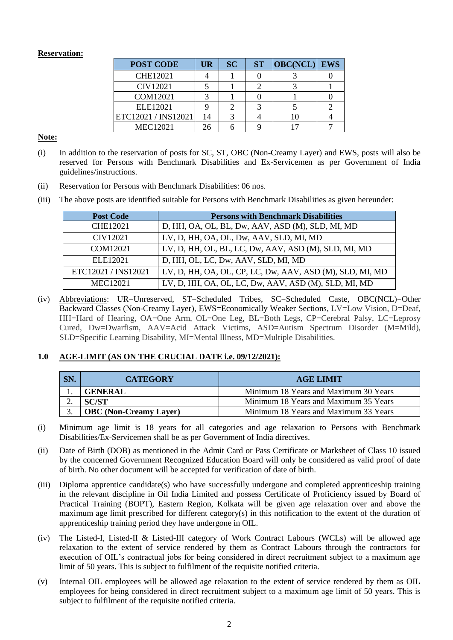# **Reservation:**

| <b>POST CODE</b>    | UR | <b>SC</b> | <b>ST</b> | $ OBC(NCL) $ EWS |  |
|---------------------|----|-----------|-----------|------------------|--|
| <b>CHE12021</b>     |    |           |           |                  |  |
| CIV12021            |    |           |           |                  |  |
| COM12021            |    |           |           |                  |  |
| ELE12021            |    |           |           |                  |  |
| ETC12021 / INS12021 | 14 |           |           |                  |  |
| MEC12021            |    |           |           |                  |  |

**Note:**

- (i) In addition to the reservation of posts for SC, ST, OBC (Non-Creamy Layer) and EWS, posts will also be reserved for Persons with Benchmark Disabilities and Ex-Servicemen as per Government of India guidelines/instructions.
- (ii) Reservation for Persons with Benchmark Disabilities: 06 nos.
- (iii) The above posts are identified suitable for Persons with Benchmark Disabilities as given hereunder:

| <b>Post Code</b>    | <b>Persons with Benchmark Disabilities</b>               |
|---------------------|----------------------------------------------------------|
| <b>CHE12021</b>     | D, HH, OA, OL, BL, Dw, AAV, ASD (M), SLD, MI, MD         |
| CIV12021            | LV, D, HH, OA, OL, Dw, AAV, SLD, MI, MD                  |
| COM12021            | LV, D, HH, OL, BL, LC, Dw, AAV, ASD (M), SLD, MI, MD     |
| ELE12021            | D, HH, OL, LC, Dw, AAV, SLD, MI, MD                      |
| ETC12021 / INS12021 | LV, D, HH, OA, OL, CP, LC, Dw, AAV, ASD (M), SLD, MI, MD |
| <b>MEC12021</b>     | LV, D, HH, OA, OL, LC, Dw, AAV, ASD (M), SLD, MI, MD     |

(iv) Abbreviations: UR=Unreserved, ST=Scheduled Tribes, SC=Scheduled Caste, OBC(NCL)=Other Backward Classes (Non-Creamy Layer), EWS=Economically Weaker Sections, LV=Low Vision, D=Deaf, HH=Hard of Hearing, OA=One Arm, OL=One Leg, BL=Both Legs, CP=Cerebral Palsy, LC=Leprosy Cured, Dw=Dwarfism, AAV=Acid Attack Victims, ASD=Autism Spectrum Disorder (M=Mild), SLD=Specific Learning Disability, MI=Mental Illness, MD=Multiple Disabilities.

# **1.0 AGE-LIMIT (AS ON THE CRUCIAL DATE i.e. 09/12/2021):**

| SN. | <b>CATEGORY</b>               | <b>AGE LIMIT</b>                      |
|-----|-------------------------------|---------------------------------------|
|     | <b>GENERAL</b>                | Minimum 18 Years and Maximum 30 Years |
| ∼.  | <b>SC/ST</b>                  | Minimum 18 Years and Maximum 35 Years |
|     | <b>OBC</b> (Non-Creamy Layer) | Minimum 18 Years and Maximum 33 Years |

- (i) Minimum age limit is 18 years for all categories and age relaxation to Persons with Benchmark Disabilities/Ex-Servicemen shall be as per Government of India directives.
- (ii) Date of Birth (DOB) as mentioned in the Admit Card or Pass Certificate or Marksheet of Class 10 issued by the concerned Government Recognized Education Board will only be considered as valid proof of date of birth. No other document will be accepted for verification of date of birth.
- (iii) Diploma apprentice candidate(s) who have successfully undergone and completed apprenticeship training in the relevant discipline in Oil India Limited and possess Certificate of Proficiency issued by Board of Practical Training (BOPT), Eastern Region, Kolkata will be given age relaxation over and above the maximum age limit prescribed for different category(s) in this notification to the extent of the duration of apprenticeship training period they have undergone in OIL.
- (iv) The Listed-I, Listed-II & Listed-III category of Work Contract Labours (WCLs) will be allowed age relaxation to the extent of service rendered by them as Contract Labours through the contractors for execution of OIL's contractual jobs for being considered in direct recruitment subject to a maximum age limit of 50 years. This is subject to fulfilment of the requisite notified criteria.
- (v) Internal OIL employees will be allowed age relaxation to the extent of service rendered by them as OIL employees for being considered in direct recruitment subject to a maximum age limit of 50 years. This is subject to fulfilment of the requisite notified criteria.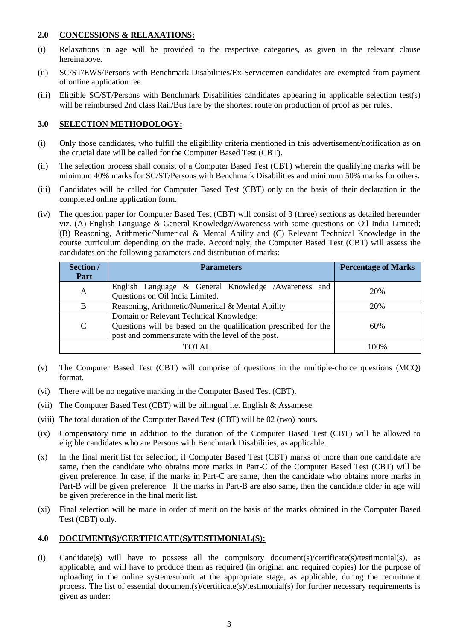# **2.0 CONCESSIONS & RELAXATIONS:**

- (i) Relaxations in age will be provided to the respective categories, as given in the relevant clause hereinabove.
- (ii) SC/ST/EWS/Persons with Benchmark Disabilities/Ex-Servicemen candidates are exempted from payment of online application fee.
- (iii) Eligible SC/ST/Persons with Benchmark Disabilities candidates appearing in applicable selection test(s) will be reimbursed 2nd class Rail/Bus fare by the shortest route on production of proof as per rules.

# **3.0 SELECTION METHODOLOGY:**

- (i) Only those candidates, who fulfill the eligibility criteria mentioned in this advertisement/notification as on the crucial date will be called for the Computer Based Test (CBT).
- (ii) The selection process shall consist of a Computer Based Test (CBT) wherein the qualifying marks will be minimum 40% marks for SC/ST/Persons with Benchmark Disabilities and minimum 50% marks for others.
- (iii) Candidates will be called for Computer Based Test (CBT) only on the basis of their declaration in the completed online application form.
- (iv) The question paper for Computer Based Test (CBT) will consist of 3 (three) sections as detailed hereunder viz. (A) English Language & General Knowledge/Awareness with some questions on Oil India Limited; (B) Reasoning, Arithmetic/Numerical & Mental Ability and (C) Relevant Technical Knowledge in the course curriculum depending on the trade. Accordingly, the Computer Based Test (CBT) will assess the candidates on the following parameters and distribution of marks:

| Section /                                             | <b>Parameters</b>                                                                                                                                               | <b>Percentage of Marks</b> |
|-------------------------------------------------------|-----------------------------------------------------------------------------------------------------------------------------------------------------------------|----------------------------|
| Part                                                  |                                                                                                                                                                 |                            |
| $\mathbf{A}$                                          | English Language & General Knowledge /Awareness and<br>Questions on Oil India Limited.                                                                          | 20%                        |
| Reasoning, Arithmetic/Numerical & Mental Ability<br>B |                                                                                                                                                                 | 20%                        |
| C                                                     | Domain or Relevant Technical Knowledge:<br>Questions will be based on the qualification prescribed for the<br>post and commensurate with the level of the post. | 60%                        |
| 100%<br>TOTAL.                                        |                                                                                                                                                                 |                            |

- (v) The Computer Based Test (CBT) will comprise of questions in the multiple-choice questions (MCQ) format.
- (vi) There will be no negative marking in the Computer Based Test (CBT).
- (vii) The Computer Based Test (CBT) will be bilingual i.e. English & Assamese.
- (viii) The total duration of the Computer Based Test (CBT) will be 02 (two) hours.
- (ix) Compensatory time in addition to the duration of the Computer Based Test (CBT) will be allowed to eligible candidates who are Persons with Benchmark Disabilities, as applicable.
- (x) In the final merit list for selection, if Computer Based Test (CBT) marks of more than one candidate are same, then the candidate who obtains more marks in Part-C of the Computer Based Test (CBT) will be given preference. In case, if the marks in Part-C are same, then the candidate who obtains more marks in Part-B will be given preference. If the marks in Part-B are also same, then the candidate older in age will be given preference in the final merit list.
- (xi) Final selection will be made in order of merit on the basis of the marks obtained in the Computer Based Test (CBT) only.

# **4.0 DOCUMENT(S)/CERTIFICATE(S)/TESTIMONIAL(S):**

(i) Candidate(s) will have to possess all the compulsory document(s)/certificate(s)/testimonial(s), as applicable, and will have to produce them as required (in original and required copies) for the purpose of uploading in the online system/submit at the appropriate stage, as applicable, during the recruitment process. The list of essential document(s)/certificate(s)/testimonial(s) for further necessary requirements is given as under: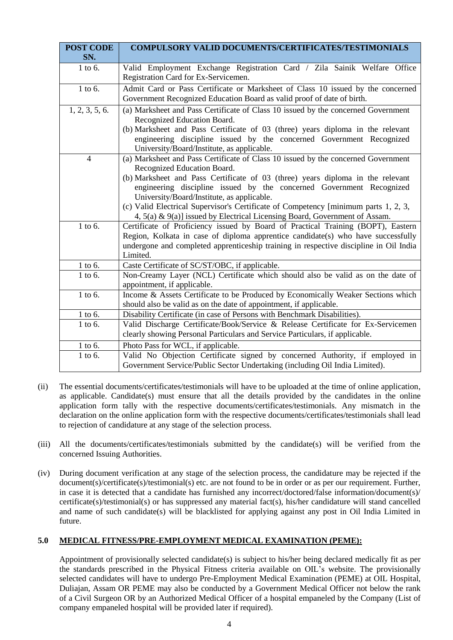| <b>POST CODE</b><br>SN. | <b>COMPULSORY VALID DOCUMENTS/CERTIFICATES/TESTIMONIALS</b>                                                                                                                                                                                                               |  |
|-------------------------|---------------------------------------------------------------------------------------------------------------------------------------------------------------------------------------------------------------------------------------------------------------------------|--|
| 1 to 6.                 | Valid Employment Exchange Registration Card / Zila Sainik Welfare Office<br>Registration Card for Ex-Servicemen.                                                                                                                                                          |  |
| 1 to 6.                 | Admit Card or Pass Certificate or Marksheet of Class 10 issued by the concerned<br>Government Recognized Education Board as valid proof of date of birth.                                                                                                                 |  |
| 1, 2, 3, 5, 6.          | (a) Marksheet and Pass Certificate of Class 10 issued by the concerned Government<br>Recognized Education Board.                                                                                                                                                          |  |
|                         | (b) Marksheet and Pass Certificate of 03 (three) years diploma in the relevant<br>engineering discipline issued by the concerned Government Recognized<br>University/Board/Institute, as applicable.                                                                      |  |
| $\overline{4}$          | (a) Marksheet and Pass Certificate of Class 10 issued by the concerned Government<br>Recognized Education Board.                                                                                                                                                          |  |
|                         | (b) Marksheet and Pass Certificate of 03 (three) years diploma in the relevant<br>engineering discipline issued by the concerned Government Recognized<br>University/Board/Institute, as applicable.                                                                      |  |
|                         | (c) Valid Electrical Supervisor's Certificate of Competency [minimum parts 1, 2, 3,<br>4, 5(a) & 9(a)] issued by Electrical Licensing Board, Government of Assam.                                                                                                         |  |
| 1 to 6.                 | Certificate of Proficiency issued by Board of Practical Training (BOPT), Eastern<br>Region, Kolkata in case of diploma apprentice candidate(s) who have successfully<br>undergone and completed apprenticeship training in respective discipline in Oil India<br>Limited. |  |
| 1 to 6.                 | Caste Certificate of SC/ST/OBC, if applicable.                                                                                                                                                                                                                            |  |
| 1 to 6.                 | Non-Creamy Layer (NCL) Certificate which should also be valid as on the date of<br>appointment, if applicable.                                                                                                                                                            |  |
| 1 to 6.                 | Income & Assets Certificate to be Produced by Economically Weaker Sections which<br>should also be valid as on the date of appointment, if applicable.                                                                                                                    |  |
| 1 to 6.                 | Disability Certificate (in case of Persons with Benchmark Disabilities).                                                                                                                                                                                                  |  |
| 1 to 6.                 | Valid Discharge Certificate/Book/Service & Release Certificate for Ex-Servicemen<br>clearly showing Personal Particulars and Service Particulars, if applicable.                                                                                                          |  |
| 1 to 6.                 | Photo Pass for WCL, if applicable.                                                                                                                                                                                                                                        |  |
| 1 to 6.                 | Valid No Objection Certificate signed by concerned Authority, if employed in<br>Government Service/Public Sector Undertaking (including Oil India Limited).                                                                                                               |  |

- (ii) The essential documents/certificates/testimonials will have to be uploaded at the time of online application, as applicable. Candidate(s) must ensure that all the details provided by the candidates in the online application form tally with the respective documents/certificates/testimonials. Any mismatch in the declaration on the online application form with the respective documents/certificates/testimonials shall lead to rejection of candidature at any stage of the selection process.
- (iii) All the documents/certificates/testimonials submitted by the candidate(s) will be verified from the concerned Issuing Authorities.
- (iv) During document verification at any stage of the selection process, the candidature may be rejected if the document(s)/certificate(s)/testimonial(s) etc. are not found to be in order or as per our requirement. Further, in case it is detected that a candidate has furnished any incorrect/doctored/false information/document(s)/ certificate(s)/testimonial(s) or has suppressed any material fact(s), his/her candidature will stand cancelled and name of such candidate(s) will be blacklisted for applying against any post in Oil India Limited in future.

# **5.0 MEDICAL FITNESS/PRE-EMPLOYMENT MEDICAL EXAMINATION (PEME):**

Appointment of provisionally selected candidate(s) is subject to his/her being declared medically fit as per the standards prescribed in the Physical Fitness criteria available on OIL's website. The provisionally selected candidates will have to undergo Pre-Employment Medical Examination (PEME) at OIL Hospital, Duliajan, Assam OR PEME may also be conducted by a Government Medical Officer not below the rank of a Civil Surgeon OR by an Authorized Medical Officer of a hospital empaneled by the Company (List of company empaneled hospital will be provided later if required).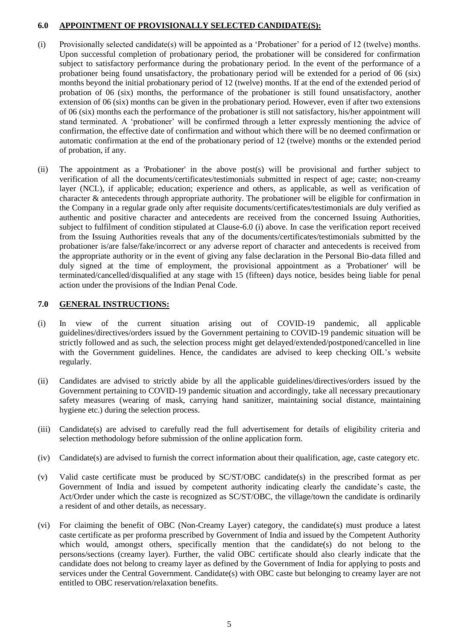#### **6.0 APPOINTMENT OF PROVISIONALLY SELECTED CANDIDATE(S):**

- (i) Provisionally selected candidate(s) will be appointed as a 'Probationer' for a period of 12 (twelve) months. Upon successful completion of probationary period, the probationer will be considered for confirmation subject to satisfactory performance during the probationary period. In the event of the performance of a probationer being found unsatisfactory, the probationary period will be extended for a period of 06 (six) months beyond the initial probationary period of 12 (twelve) months. If at the end of the extended period of probation of 06 (six) months, the performance of the probationer is still found unsatisfactory, another extension of 06 (six) months can be given in the probationary period. However, even if after two extensions of 06 (six) months each the performance of the probationer is still not satisfactory, his/her appointment will stand terminated. A 'probationer' will be confirmed through a letter expressly mentioning the advice of confirmation, the effective date of confirmation and without which there will be no deemed confirmation or automatic confirmation at the end of the probationary period of 12 (twelve) months or the extended period of probation, if any.
- (ii) The appointment as a 'Probationer' in the above post(s) will be provisional and further subject to verification of all the documents/certificates/testimonials submitted in respect of age; caste; non-creamy layer (NCL), if applicable; education; experience and others, as applicable, as well as verification of character & antecedents through appropriate authority. The probationer will be eligible for confirmation in the Company in a regular grade only after requisite documents/certificates/testimonials are duly verified as authentic and positive character and antecedents are received from the concerned Issuing Authorities, subject to fulfilment of condition stipulated at Clause-6.0 (i) above. In case the verification report received from the Issuing Authorities reveals that any of the documents/certificates/testimonials submitted by the probationer is/are false/fake/incorrect or any adverse report of character and antecedents is received from the appropriate authority or in the event of giving any false declaration in the Personal Bio-data filled and duly signed at the time of employment, the provisional appointment as a 'Probationer' will be terminated/cancelled/disqualified at any stage with 15 (fifteen) days notice, besides being liable for penal action under the provisions of the Indian Penal Code.

## **7.0 GENERAL INSTRUCTIONS:**

- (i) In view of the current situation arising out of COVID-19 pandemic, all applicable guidelines/directives/orders issued by the Government pertaining to COVID-19 pandemic situation will be strictly followed and as such, the selection process might get delayed/extended/postponed/cancelled in line with the Government guidelines. Hence, the candidates are advised to keep checking OIL's website regularly.
- (ii) Candidates are advised to strictly abide by all the applicable guidelines/directives/orders issued by the Government pertaining to COVID-19 pandemic situation and accordingly, take all necessary precautionary safety measures (wearing of mask, carrying hand sanitizer, maintaining social distance, maintaining hygiene etc.) during the selection process.
- (iii) Candidate(s) are advised to carefully read the full advertisement for details of eligibility criteria and selection methodology before submission of the online application form.
- (iv) Candidate(s) are advised to furnish the correct information about their qualification, age, caste category etc.
- (v) Valid caste certificate must be produced by SC/ST/OBC candidate(s) in the prescribed format as per Government of India and issued by competent authority indicating clearly the candidate's caste, the Act/Order under which the caste is recognized as SC/ST/OBC, the village/town the candidate is ordinarily a resident of and other details, as necessary.
- (vi) For claiming the benefit of OBC (Non-Creamy Layer) category, the candidate(s) must produce a latest caste certificate as per proforma prescribed by Government of India and issued by the Competent Authority which would, amongst others, specifically mention that the candidate(s) do not belong to the persons/sections (creamy layer). Further, the valid OBC certificate should also clearly indicate that the candidate does not belong to creamy layer as defined by the Government of India for applying to posts and services under the Central Government. Candidate(s) with OBC caste but belonging to creamy layer are not entitled to OBC reservation/relaxation benefits.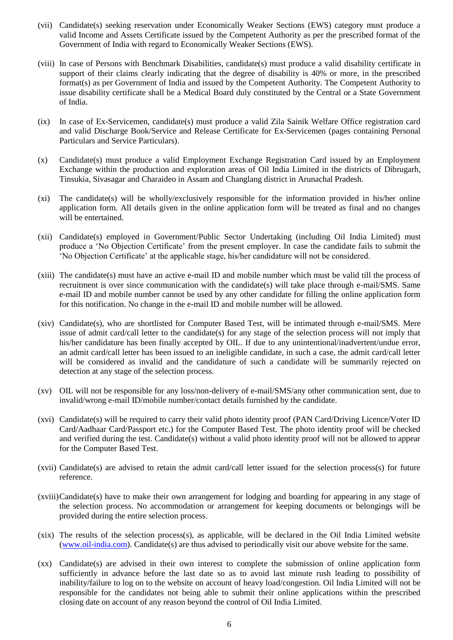- (vii) Candidate(s) seeking reservation under Economically Weaker Sections (EWS) category must produce a valid Income and Assets Certificate issued by the Competent Authority as per the prescribed format of the Government of India with regard to Economically Weaker Sections (EWS).
- (viii) In case of Persons with Benchmark Disabilities, candidate(s) must produce a valid disability certificate in support of their claims clearly indicating that the degree of disability is 40% or more, in the prescribed format(s) as per Government of India and issued by the Competent Authority. The Competent Authority to issue disability certificate shall be a Medical Board duly constituted by the Central or a State Government of India.
- (ix) In case of Ex-Servicemen, candidate(s) must produce a valid Zila Sainik Welfare Office registration card and valid Discharge Book/Service and Release Certificate for Ex-Servicemen (pages containing Personal Particulars and Service Particulars).
- (x) Candidate(s) must produce a valid Employment Exchange Registration Card issued by an Employment Exchange within the production and exploration areas of Oil India Limited in the districts of Dibrugarh, Tinsukia, Sivasagar and Charaideo in Assam and Changlang district in Arunachal Pradesh.
- (xi) The candidate(s) will be wholly/exclusively responsible for the information provided in his/her online application form. All details given in the online application form will be treated as final and no changes will be entertained.
- (xii) Candidate(s) employed in Government/Public Sector Undertaking (including Oil India Limited) must produce a 'No Objection Certificate' from the present employer. In case the candidate fails to submit the 'No Objection Certificate' at the applicable stage, his/her candidature will not be considered.
- (xiii) The candidate(s) must have an active e-mail ID and mobile number which must be valid till the process of recruitment is over since communication with the candidate(s) will take place through e-mail/SMS. Same e-mail ID and mobile number cannot be used by any other candidate for filling the online application form for this notification. No change in the e-mail ID and mobile number will be allowed.
- (xiv) Candidate(s), who are shortlisted for Computer Based Test, will be intimated through e-mail/SMS. Mere issue of admit card/call letter to the candidate(s) for any stage of the selection process will not imply that his/her candidature has been finally accepted by OIL. If due to any unintentional/inadvertent/undue error, an admit card/call letter has been issued to an ineligible candidate, in such a case, the admit card/call letter will be considered as invalid and the candidature of such a candidate will be summarily rejected on detection at any stage of the selection process.
- (xv) OIL will not be responsible for any loss/non-delivery of e-mail/SMS/any other communication sent, due to invalid/wrong e-mail ID/mobile number/contact details furnished by the candidate.
- (xvi) Candidate(s) will be required to carry their valid photo identity proof (PAN Card/Driving Licence/Voter ID Card/Aadhaar Card/Passport etc.) for the Computer Based Test. The photo identity proof will be checked and verified during the test. Candidate(s) without a valid photo identity proof will not be allowed to appear for the Computer Based Test.
- $(xvii)$  Candidate(s) are advised to retain the admit card/call letter issued for the selection process(s) for future reference.
- (xviii)Candidate(s) have to make their own arrangement for lodging and boarding for appearing in any stage of the selection process. No accommodation or arrangement for keeping documents or belongings will be provided during the entire selection process.
- (xix) The results of the selection process(s), as applicable, will be declared in the Oil India Limited website [\(www.oil-india.com\)](http://www.oil-india.com/). Candidate(s) are thus advised to periodically visit our above website for the same.
- (xx) Candidate(s) are advised in their own interest to complete the submission of online application form sufficiently in advance before the last date so as to avoid last minute rush leading to possibility of inability/failure to log on to the website on account of heavy load/congestion. Oil India Limited will not be responsible for the candidates not being able to submit their online applications within the prescribed closing date on account of any reason beyond the control of Oil India Limited.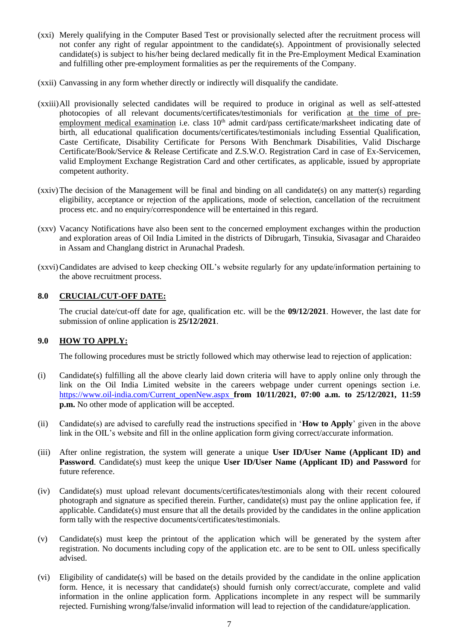- (xxi) Merely qualifying in the Computer Based Test or provisionally selected after the recruitment process will not confer any right of regular appointment to the candidate(s). Appointment of provisionally selected candidate(s) is subject to his/her being declared medically fit in the Pre-Employment Medical Examination and fulfilling other pre-employment formalities as per the requirements of the Company.
- (xxii) Canvassing in any form whether directly or indirectly will disqualify the candidate.
- (xxiii)All provisionally selected candidates will be required to produce in original as well as self-attested photocopies of all relevant documents/certificates/testimonials for verification at the time of preemployment medical examination i.e. class  $10<sup>th</sup>$  admit card/pass certificate/marksheet indicating date of birth, all educational qualification documents/certificates/testimonials including Essential Qualification, Caste Certificate, Disability Certificate for Persons With Benchmark Disabilities, Valid Discharge Certificate/Book/Service & Release Certificate and Z.S.W.O. Registration Card in case of Ex-Servicemen, valid Employment Exchange Registration Card and other certificates, as applicable, issued by appropriate competent authority.
- (xxiv)The decision of the Management will be final and binding on all candidate(s) on any matter(s) regarding eligibility, acceptance or rejection of the applications, mode of selection, cancellation of the recruitment process etc. and no enquiry/correspondence will be entertained in this regard.
- (xxv) Vacancy Notifications have also been sent to the concerned employment exchanges within the production and exploration areas of Oil India Limited in the districts of Dibrugarh, Tinsukia, Sivasagar and Charaideo in Assam and Changlang district in Arunachal Pradesh.
- (xxvi)Candidates are advised to keep checking OIL's website regularly for any update/information pertaining to the above recruitment process.

## **8.0 CRUCIAL/CUT-OFF DATE:**

The crucial date/cut-off date for age, qualification etc. will be the **09/12/2021**. However, the last date for submission of online application is **25/12/2021**.

#### **9.0 HOW TO APPLY:**

The following procedures must be strictly followed which may otherwise lead to rejection of application:

- (i) Candidate(s) fulfilling all the above clearly laid down criteria will have to apply online only through the link on the Oil India Limited website in the careers webpage under current openings section i.e. [https://www.oil-india.com/Current\\_openNew.aspx](https://www.oil-india.com/Current_openNew.aspx) **from 10/11/2021, 07:00 a.m. to 25/12/2021, 11:59 p.m.** No other mode of application will be accepted.
- (ii) Candidate(s) are advised to carefully read the instructions specified in '**How to Apply**' given in the above link in the OIL's website and fill in the online application form giving correct/accurate information.
- (iii) After online registration, the system will generate a unique **User ID/User Name (Applicant ID) and Password**. Candidate(s) must keep the unique **User ID/User Name (Applicant ID) and Password** for future reference.
- (iv) Candidate(s) must upload relevant documents/certificates/testimonials along with their recent coloured photograph and signature as specified therein. Further, candidate(s) must pay the online application fee, if applicable. Candidate(s) must ensure that all the details provided by the candidates in the online application form tally with the respective documents/certificates/testimonials.
- (v) Candidate(s) must keep the printout of the application which will be generated by the system after registration. No documents including copy of the application etc. are to be sent to OIL unless specifically advised.
- (vi) Eligibility of candidate(s) will be based on the details provided by the candidate in the online application form. Hence, it is necessary that candidate(s) should furnish only correct/accurate, complete and valid information in the online application form. Applications incomplete in any respect will be summarily rejected. Furnishing wrong/false/invalid information will lead to rejection of the candidature/application.